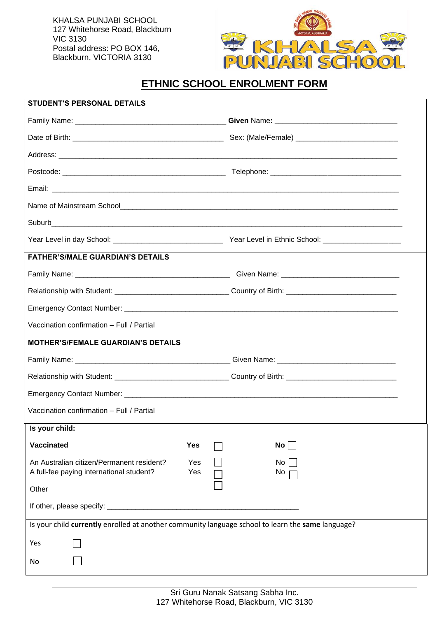KHALSA PUNJABI SCHOOL 127 Whitehorse Road, Blackburn VIC 3130 Postal address: PO BOX 146, Blackburn, VICTORIA 3130



# **ETHNIC SCHOOL ENROLMENT FORM**

| <b>STUDENT'S PERSONAL DETAILS</b>                                                                 |     |  |                                                                                                                |  |
|---------------------------------------------------------------------------------------------------|-----|--|----------------------------------------------------------------------------------------------------------------|--|
|                                                                                                   |     |  |                                                                                                                |  |
|                                                                                                   |     |  |                                                                                                                |  |
|                                                                                                   |     |  |                                                                                                                |  |
|                                                                                                   |     |  |                                                                                                                |  |
|                                                                                                   |     |  |                                                                                                                |  |
|                                                                                                   |     |  |                                                                                                                |  |
|                                                                                                   |     |  |                                                                                                                |  |
|                                                                                                   |     |  |                                                                                                                |  |
| <b>FATHER'S/MALE GUARDIAN'S DETAILS</b>                                                           |     |  |                                                                                                                |  |
|                                                                                                   |     |  |                                                                                                                |  |
|                                                                                                   |     |  |                                                                                                                |  |
|                                                                                                   |     |  |                                                                                                                |  |
| Vaccination confirmation - Full / Partial                                                         |     |  |                                                                                                                |  |
| <b>MOTHER'S/FEMALE GUARDIAN'S DETAILS</b>                                                         |     |  |                                                                                                                |  |
|                                                                                                   |     |  |                                                                                                                |  |
|                                                                                                   |     |  | Relationship with Student: ___________________________________Country of Birth: ______________________________ |  |
|                                                                                                   |     |  |                                                                                                                |  |
| Vaccination confirmation - Full / Partial                                                         |     |  |                                                                                                                |  |
| $\sqrt{\phantom{a}}$ Is your child:                                                               |     |  |                                                                                                                |  |
| Vaccinated                                                                                        | Yes |  | $No \Box$                                                                                                      |  |
| An Australian citizen/Permanent resident?                                                         | Yes |  | No                                                                                                             |  |
| A full-fee paying international student?                                                          | Yes |  | No                                                                                                             |  |
| Other                                                                                             |     |  |                                                                                                                |  |
|                                                                                                   |     |  |                                                                                                                |  |
| Is your child currently enrolled at another community language school to learn the same language? |     |  |                                                                                                                |  |
| Yes                                                                                               |     |  |                                                                                                                |  |
| No                                                                                                |     |  |                                                                                                                |  |